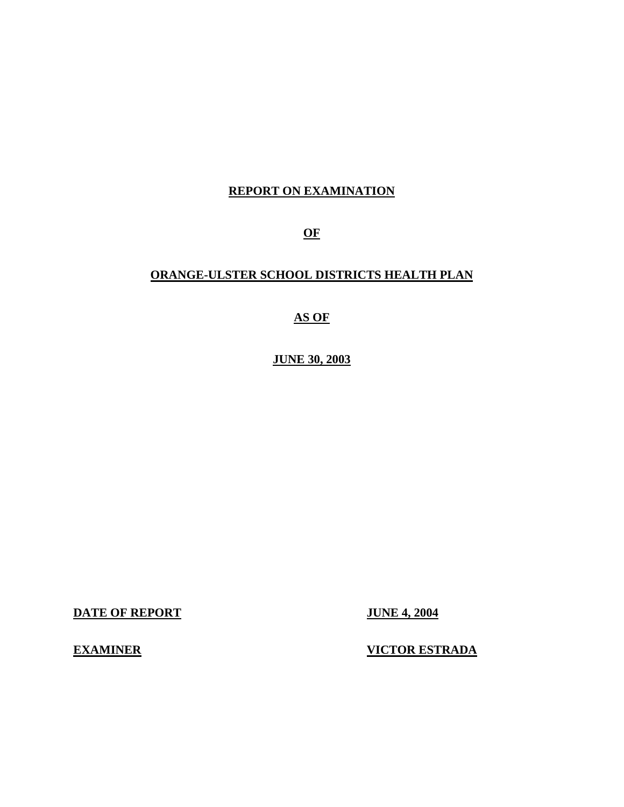## **REPORT ON EXAMINATION**

**OF** 

## **ORANGE-ULSTER SCHOOL DISTRICTS HEALTH PLAN**

**AS OF** 

**JUNE 30, 2003** 

**DATE OF REPORT JUNE 4, 2004** 

**EXAMINER** 

**VICTOR ESTRADA**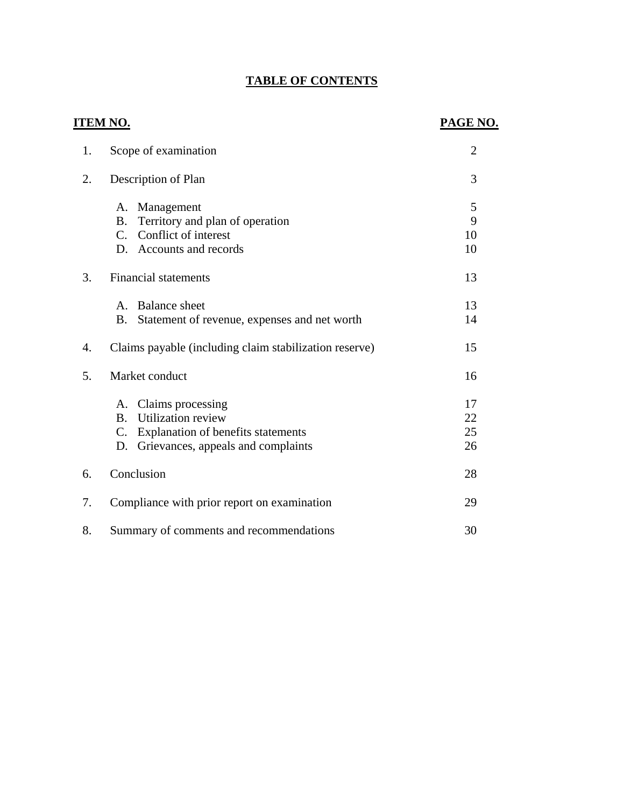## **TABLE OF CONTENTS**

## **ITEM NO.**

## **PAGE NO.**

| 1. | Scope of examination                                                                                                                                                  | $\overline{2}$       |
|----|-----------------------------------------------------------------------------------------------------------------------------------------------------------------------|----------------------|
| 2. | Description of Plan                                                                                                                                                   | 3                    |
|    | Management<br>A.<br>Territory and plan of operation<br>Β.<br>Conflict of interest<br>$C_{\cdot}$<br>D. Accounts and records                                           | 5<br>9<br>10<br>10   |
| 3. | <b>Financial statements</b>                                                                                                                                           | 13                   |
|    | <b>Balance</b> sheet<br>$\mathsf{A}$ .<br>Statement of revenue, expenses and net worth<br><b>B.</b>                                                                   | 13<br>14             |
| 4. | Claims payable (including claim stabilization reserve)                                                                                                                | 15                   |
| 5. | Market conduct                                                                                                                                                        | 16                   |
|    | Claims processing<br>A.<br><b>Utilization review</b><br><b>B.</b><br>Explanation of benefits statements<br>$\mathbf{C}$ .<br>Grievances, appeals and complaints<br>D. | 17<br>22<br>25<br>26 |
| 6. | Conclusion                                                                                                                                                            | 28                   |
| 7. | Compliance with prior report on examination                                                                                                                           | 29                   |
| 8. | Summary of comments and recommendations                                                                                                                               | 30                   |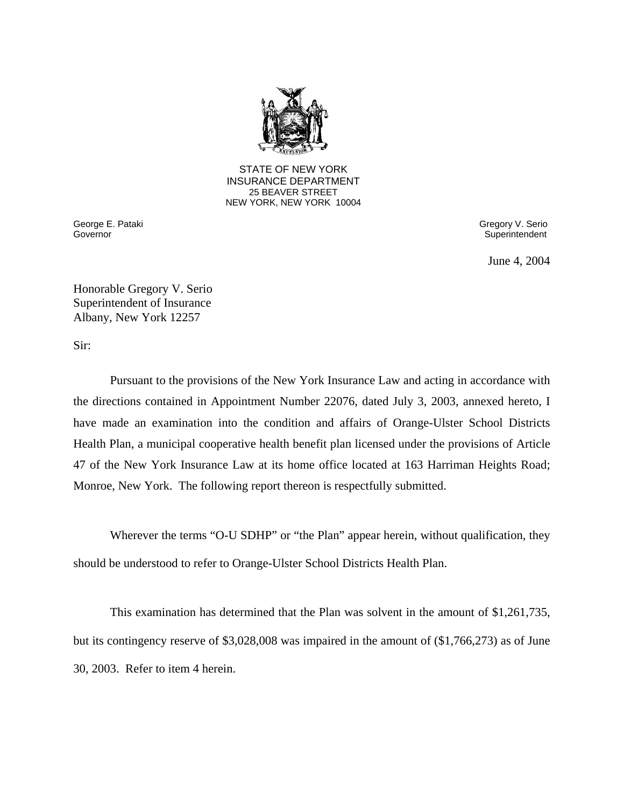

**25 BEAVER STREET** STATE OF NEW YORK INSURANCE DEPARTMENT NEW YORK, NEW YORK 10004

Governor

George E. Pataki Gregory V. Serio Superintendent

June 4, 2004

Honorable Gregory V. Serio Superintendent of Insurance Albany, New York 12257

Sir:

Pursuant to the provisions of the New York Insurance Law and acting in accordance with the directions contained in Appointment Number 22076, dated July 3, 2003, annexed hereto, I have made an examination into the condition and affairs of Orange-Ulster School Districts Health Plan, a municipal cooperative health benefit plan licensed under the provisions of Article 47 of the New York Insurance Law at its home office located at 163 Harriman Heights Road; Monroe, New York. The following report thereon is respectfully submitted.

Wherever the terms "O-U SDHP" or "the Plan" appear herein, without qualification, they should be understood to refer to Orange-Ulster School Districts Health Plan.

This examination has determined that the Plan was solvent in the amount of \$1,261,735, but its contingency reserve of \$3,028,008 was impaired in the amount of (\$1,766,273) as of June 30, 2003. Refer to item 4 herein.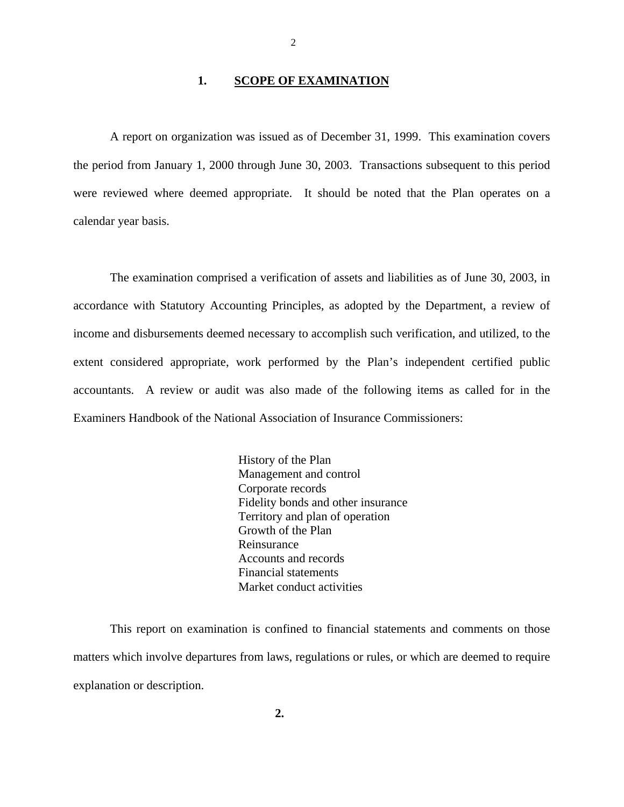#### 1. **SCOPE OF EXAMINATION**

A report on organization was issued as of December 31, 1999. This examination covers the period from January 1, 2000 through June 30, 2003. Transactions subsequent to this period were reviewed where deemed appropriate. It should be noted that the Plan operates on a calendar year basis.

The examination comprised a verification of assets and liabilities as of June 30, 2003, in accordance with Statutory Accounting Principles, as adopted by the Department, a review of income and disbursements deemed necessary to accomplish such verification, and utilized, to the extent considered appropriate, work performed by the Plan's independent certified public accountants. A review or audit was also made of the following items as called for in the Examiners Handbook of the National Association of Insurance Commissioners:

> History of the Plan Management and control Corporate records Fidelity bonds and other insurance Territory and plan of operation Growth of the Plan Reinsurance Accounts and records Financial statements Market conduct activities

This report on examination is confined to financial statements and comments on those matters which involve departures from laws, regulations or rules, or which are deemed to require explanation or description.

2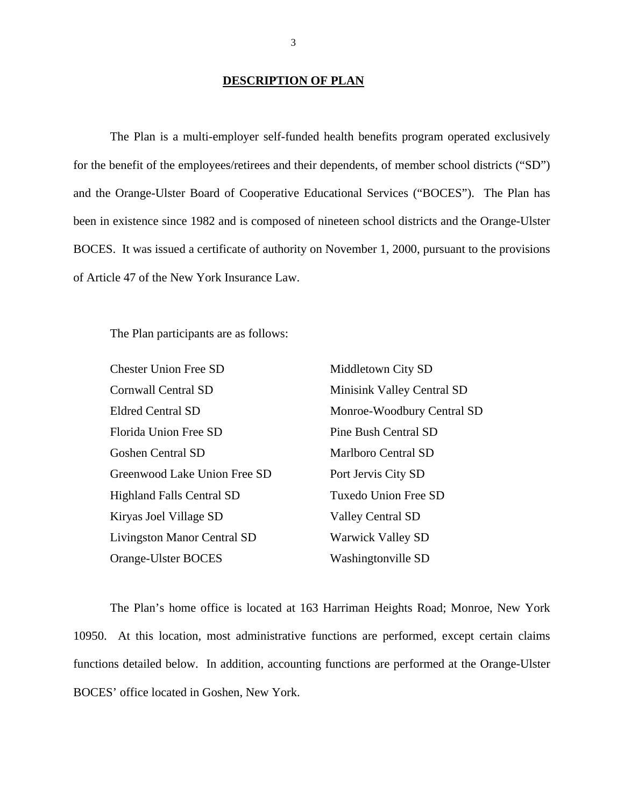#### **DESCRIPTION OF PLAN**

The Plan is a multi-employer self-funded health benefits program operated exclusively for the benefit of the employees/retirees and their dependents, of member school districts ("SD") and the Orange-Ulster Board of Cooperative Educational Services ("BOCES"). The Plan has been in existence since 1982 and is composed of nineteen school districts and the Orange-Ulster BOCES. It was issued a certificate of authority on November 1, 2000, pursuant to the provisions of Article 47 of the New York Insurance Law.

The Plan participants are as follows:

| <b>Chester Union Free SD</b>       | Middletown City SD         |
|------------------------------------|----------------------------|
| <b>Cornwall Central SD</b>         | Minisink Valley Central SD |
| <b>Eldred Central SD</b>           | Monroe-Woodbury Central SD |
| Florida Union Free SD              | Pine Bush Central SD       |
| <b>Goshen Central SD</b>           | Marlboro Central SD        |
| Greenwood Lake Union Free SD       | Port Jervis City SD        |
| <b>Highland Falls Central SD</b>   | Tuxedo Union Free SD       |
| Kiryas Joel Village SD             | <b>Valley Central SD</b>   |
| <b>Livingston Manor Central SD</b> | <b>Warwick Valley SD</b>   |
| Orange-Ulster BOCES                | Washingtonville SD         |

The Plan's home office is located at 163 Harriman Heights Road; Monroe, New York 10950. At this location, most administrative functions are performed, except certain claims functions detailed below. In addition, accounting functions are performed at the Orange-Ulster BOCES' office located in Goshen, New York.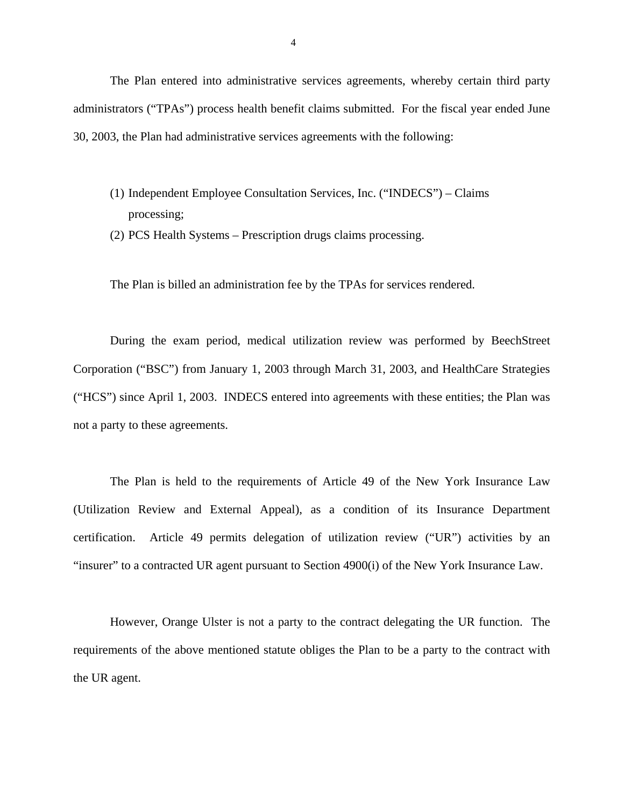The Plan entered into administrative services agreements, whereby certain third party administrators ("TPAs") process health benefit claims submitted. For the fiscal year ended June 30, 2003, the Plan had administrative services agreements with the following:

- (1) Independent Employee Consultation Services, Inc. ("INDECS") Claims processing;
- (2) PCS Health Systems Prescription drugs claims processing.

The Plan is billed an administration fee by the TPAs for services rendered.

During the exam period, medical utilization review was performed by BeechStreet Corporation ("BSC") from January 1, 2003 through March 31, 2003, and HealthCare Strategies ("HCS") since April 1, 2003. INDECS entered into agreements with these entities; the Plan was not a party to these agreements.

The Plan is held to the requirements of Article 49 of the New York Insurance Law (Utilization Review and External Appeal), as a condition of its Insurance Department certification. Article 49 permits delegation of utilization review ("UR") activities by an "insurer" to a contracted UR agent pursuant to Section 4900(i) of the New York Insurance Law.

However, Orange Ulster is not a party to the contract delegating the UR function. The requirements of the above mentioned statute obliges the Plan to be a party to the contract with the UR agent.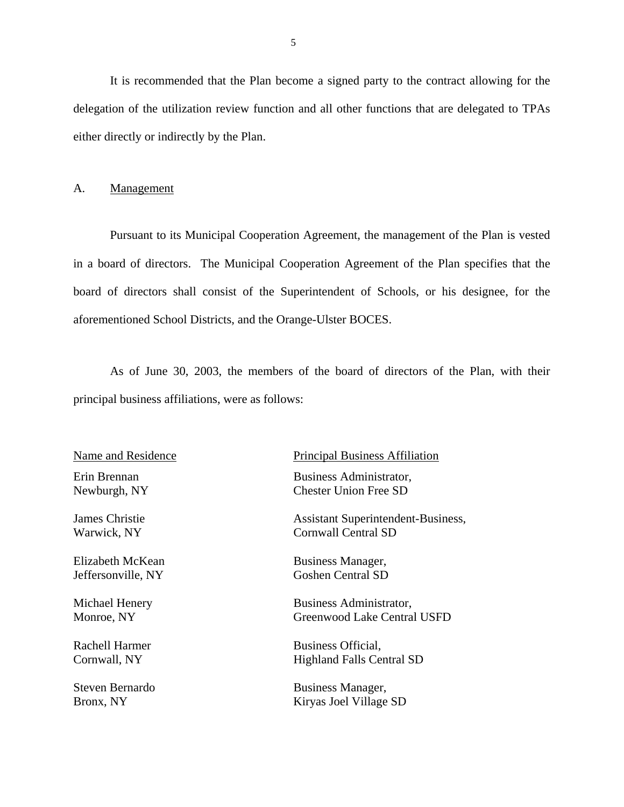It is recommended that the Plan become a signed party to the contract allowing for the delegation of the utilization review function and all other functions that are delegated to TPAs either directly or indirectly by the Plan.

#### A. Management

Pursuant to its Municipal Cooperation Agreement, the management of the Plan is vested in a board of directors. The Municipal Cooperation Agreement of the Plan specifies that the board of directors shall consist of the Superintendent of Schools, or his designee, for the aforementioned School Districts, and the Orange-Ulster BOCES.

As of June 30, 2003, the members of the board of directors of the Plan, with their principal business affiliations, were as follows:

Name and Residence

Elizabeth McKean Business Manager,

Principal Business Affiliation

Erin Brennan Business Administrator, Newburgh, NY Chester Union Free SD

James Christie Assistant Superintendent-Business, Warwick, NY Cornwall Central SD

Jeffersonville, NY Goshen Central SD

Michael Henery Business Administrator, Monroe, NY Greenwood Lake Central USFD

Rachell Harmer Business Official, Cornwall, NY Highland Falls Central SD

Steven Bernardo Business Manager, Bronx, NY Kiryas Joel Village SD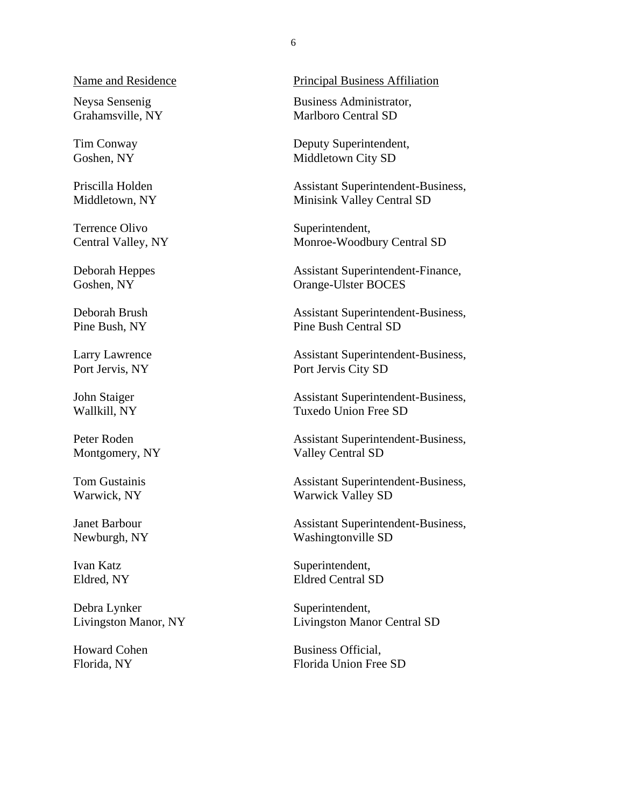Name and Residence<br>Neysa Sensenig

Grahamsville, NY

Tim Conway Goshen, NY

Priscilla Holden Middletown, NY

Terrence Olivo Central Valley, NY

Deborah Heppes Goshen, NY

Deborah Brush Pine Bush, NY

Larry Lawrence Port Jervis, NY

John Staiger Wallkill, NY

Peter Roden Montgomery, NY

Tom Gustainis Warwick, NY

Janet Barbour Newburgh, NY

Ivan Katz Eldred, NY

Debra Lynker Livingston Manor, NY

Howard Cohen Florida, NY

Principal Business Affiliation

 Business Administrator, Marlboro Central SD

 Deputy Superintendent, Middletown City SD

 Assistant Superintendent-Business, Minisink Valley Central SD

Superintendent, Monroe-Woodbury Central SD

 Assistant Superintendent-Finance, Orange-Ulster BOCES

 Assistant Superintendent-Business, Pine Bush Central SD

 Assistant Superintendent-Business, Port Jervis City SD

 Assistant Superintendent-Business, Tuxedo Union Free SD

 Assistant Superintendent-Business, Valley Central SD

 Assistant Superintendent-Business, Warwick Valley SD

 Assistant Superintendent-Business, Washingtonville SD

Superintendent, Eldred Central SD

Superintendent, Livingston Manor Central SD

 Business Official, Florida Union Free SD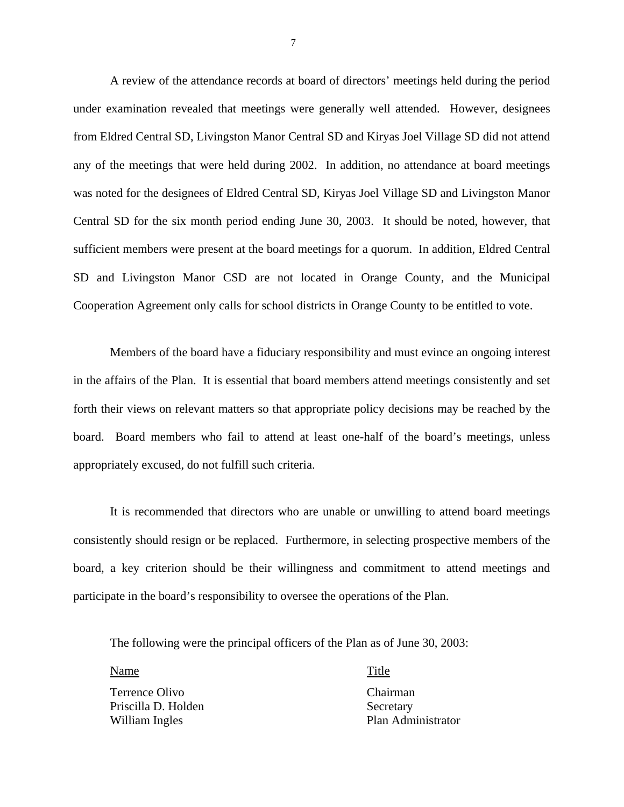A review of the attendance records at board of directors' meetings held during the period under examination revealed that meetings were generally well attended. However, designees from Eldred Central SD, Livingston Manor Central SD and Kiryas Joel Village SD did not attend any of the meetings that were held during 2002. In addition, no attendance at board meetings was noted for the designees of Eldred Central SD, Kiryas Joel Village SD and Livingston Manor Central SD for the six month period ending June 30, 2003. It should be noted, however, that sufficient members were present at the board meetings for a quorum. In addition, Eldred Central SD and Livingston Manor CSD are not located in Orange County, and the Municipal Cooperation Agreement only calls for school districts in Orange County to be entitled to vote.

Members of the board have a fiduciary responsibility and must evince an ongoing interest in the affairs of the Plan. It is essential that board members attend meetings consistently and set forth their views on relevant matters so that appropriate policy decisions may be reached by the board. Board members who fail to attend at least one-half of the board's meetings, unless appropriately excused, do not fulfill such criteria.

It is recommended that directors who are unable or unwilling to attend board meetings consistently should resign or be replaced. Furthermore, in selecting prospective members of the board, a key criterion should be their willingness and commitment to attend meetings and participate in the board's responsibility to oversee the operations of the Plan.

The following were the principal officers of the Plan as of June 30, 2003:

Name Name Title

William Ingles Terrence Olivo Chairman Priscilla D. Holden Secretary

Plan Administrator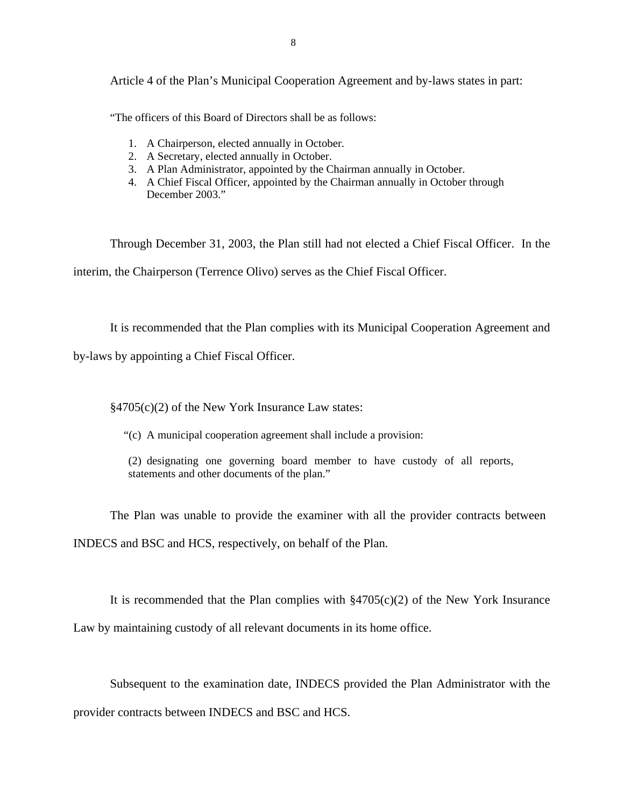8

Article 4 of the Plan's Municipal Cooperation Agreement and by-laws states in part:

"The officers of this Board of Directors shall be as follows:

- 1. A Chairperson, elected annually in October.
- 2. A Secretary, elected annually in October.
- 3. A Plan Administrator, appointed by the Chairman annually in October.
- 4. A Chief Fiscal Officer, appointed by the Chairman annually in October through December 2003."

Through December 31, 2003, the Plan still had not elected a Chief Fiscal Officer. In the interim, the Chairperson (Terrence Olivo) serves as the Chief Fiscal Officer.

It is recommended that the Plan complies with its Municipal Cooperation Agreement and

by-laws by appointing a Chief Fiscal Officer.

§4705(c)(2) of the New York Insurance Law states:

"(c) A municipal cooperation agreement shall include a provision:

(2) designating one governing board member to have custody of all reports, statements and other documents of the plan."

The Plan was unable to provide the examiner with all the provider contracts between INDECS and BSC and HCS, respectively, on behalf of the Plan.

It is recommended that the Plan complies with  $\S4705(c)(2)$  of the New York Insurance Law by maintaining custody of all relevant documents in its home office.

Subsequent to the examination date, INDECS provided the Plan Administrator with the provider contracts between INDECS and BSC and HCS.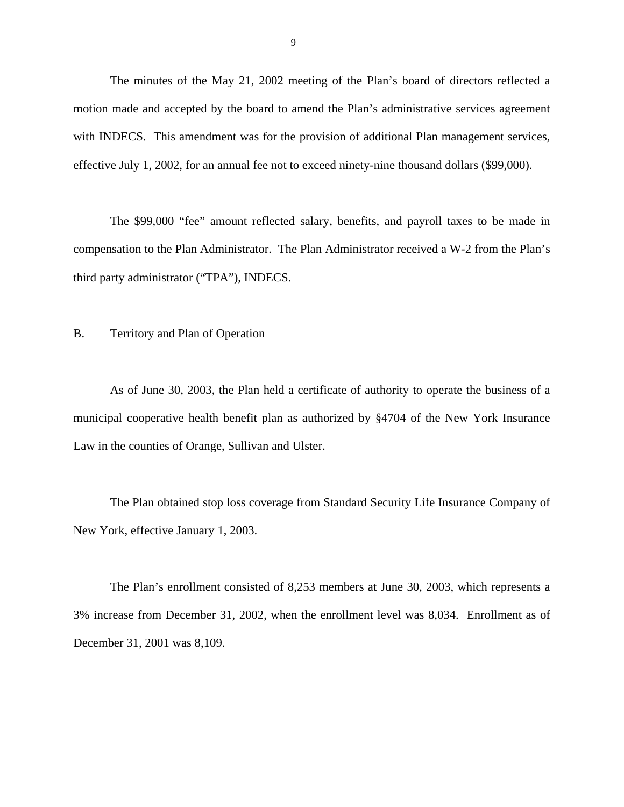The minutes of the May 21, 2002 meeting of the Plan's board of directors reflected a motion made and accepted by the board to amend the Plan's administrative services agreement with INDECS. This amendment was for the provision of additional Plan management services, effective July 1, 2002, for an annual fee not to exceed ninety-nine thousand dollars (\$99,000).

The \$99,000 "fee" amount reflected salary, benefits, and payroll taxes to be made in compensation to the Plan Administrator. The Plan Administrator received a W-2 from the Plan's third party administrator ("TPA"), INDECS.

### B. Territory and Plan of Operation

As of June 30, 2003, the Plan held a certificate of authority to operate the business of a municipal cooperative health benefit plan as authorized by §4704 of the New York Insurance Law in the counties of Orange, Sullivan and Ulster.

The Plan obtained stop loss coverage from Standard Security Life Insurance Company of New York, effective January 1, 2003.

The Plan's enrollment consisted of 8,253 members at June 30, 2003, which represents a 3% increase from December 31, 2002, when the enrollment level was 8,034. Enrollment as of December 31, 2001 was 8,109.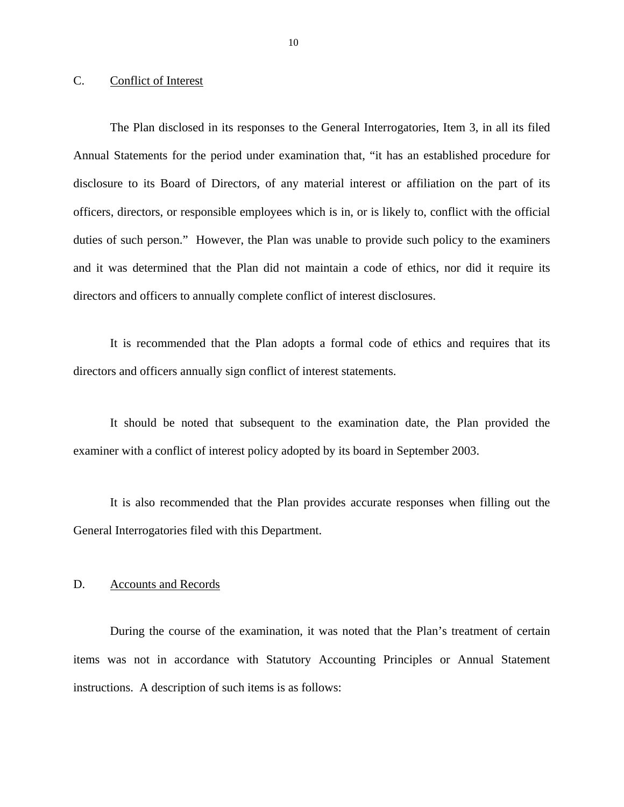## C. Conflict of Interest

The Plan disclosed in its responses to the General Interrogatories, Item 3, in all its filed Annual Statements for the period under examination that, "it has an established procedure for disclosure to its Board of Directors, of any material interest or affiliation on the part of its officers, directors, or responsible employees which is in, or is likely to, conflict with the official duties of such person." However, the Plan was unable to provide such policy to the examiners and it was determined that the Plan did not maintain a code of ethics, nor did it require its directors and officers to annually complete conflict of interest disclosures.

It is recommended that the Plan adopts a formal code of ethics and requires that its directors and officers annually sign conflict of interest statements.

It should be noted that subsequent to the examination date, the Plan provided the examiner with a conflict of interest policy adopted by its board in September 2003.

It is also recommended that the Plan provides accurate responses when filling out the General Interrogatories filed with this Department.

#### D. Accounts and Records

During the course of the examination, it was noted that the Plan's treatment of certain items was not in accordance with Statutory Accounting Principles or Annual Statement instructions. A description of such items is as follows: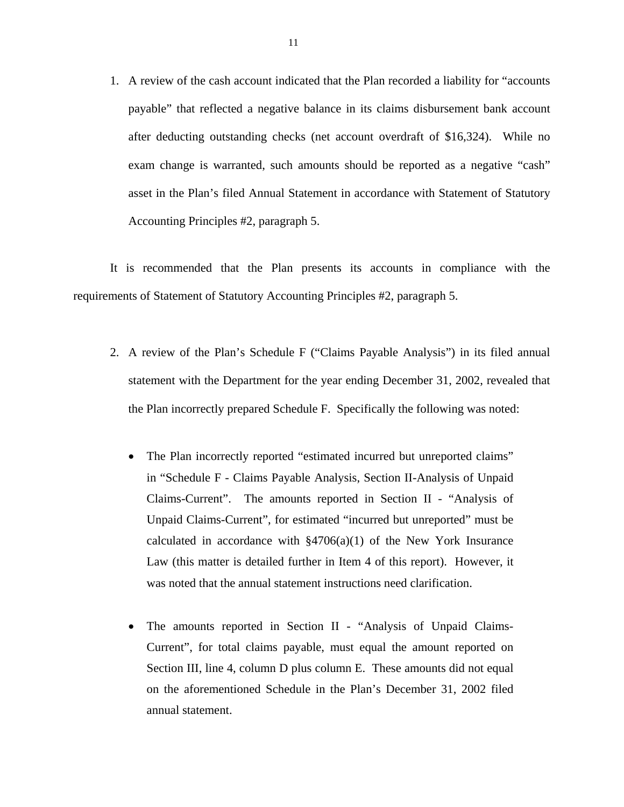1. A review of the cash account indicated that the Plan recorded a liability for "accounts payable" that reflected a negative balance in its claims disbursement bank account after deducting outstanding checks (net account overdraft of \$16,324). While no exam change is warranted, such amounts should be reported as a negative "cash" asset in the Plan's filed Annual Statement in accordance with Statement of Statutory Accounting Principles #2, paragraph 5.

It is recommended that the Plan presents its accounts in compliance with the requirements of Statement of Statutory Accounting Principles #2, paragraph 5.

- 2. A review of the Plan's Schedule F ("Claims Payable Analysis") in its filed annual statement with the Department for the year ending December 31, 2002, revealed that the Plan incorrectly prepared Schedule F. Specifically the following was noted:
	- The Plan incorrectly reported "estimated incurred but unreported claims" in "Schedule F - Claims Payable Analysis, Section II-Analysis of Unpaid Claims-Current". The amounts reported in Section II - "Analysis of Unpaid Claims-Current", for estimated "incurred but unreported" must be calculated in accordance with  $\S4706(a)(1)$  of the New York Insurance Law (this matter is detailed further in Item 4 of this report). However, it was noted that the annual statement instructions need clarification.
	- The amounts reported in Section II "Analysis of Unpaid Claims-Current", for total claims payable, must equal the amount reported on Section III, line 4, column D plus column E. These amounts did not equal on the aforementioned Schedule in the Plan's December 31, 2002 filed annual statement.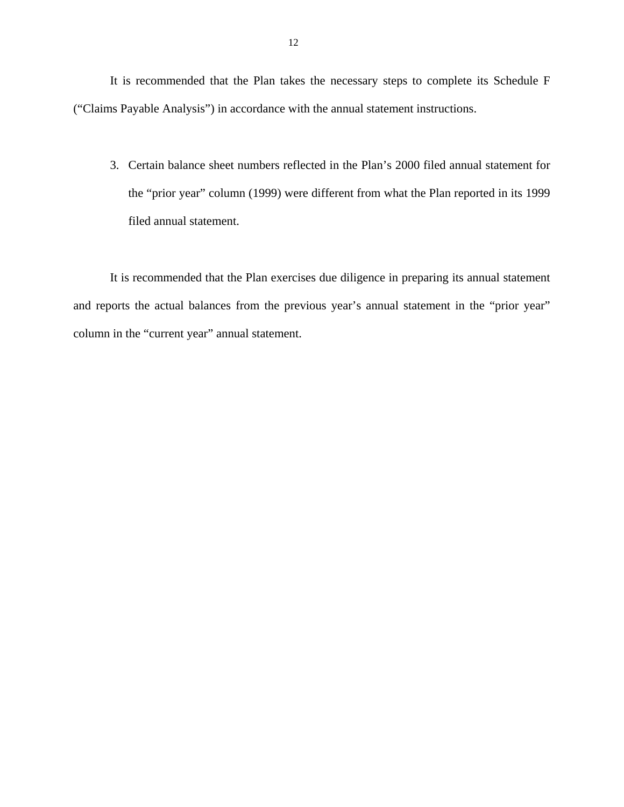It is recommended that the Plan takes the necessary steps to complete its Schedule F ("Claims Payable Analysis") in accordance with the annual statement instructions.

3. Certain balance sheet numbers reflected in the Plan's 2000 filed annual statement for the "prior year" column (1999) were different from what the Plan reported in its 1999 filed annual statement.

It is recommended that the Plan exercises due diligence in preparing its annual statement and reports the actual balances from the previous year's annual statement in the "prior year" column in the "current year" annual statement.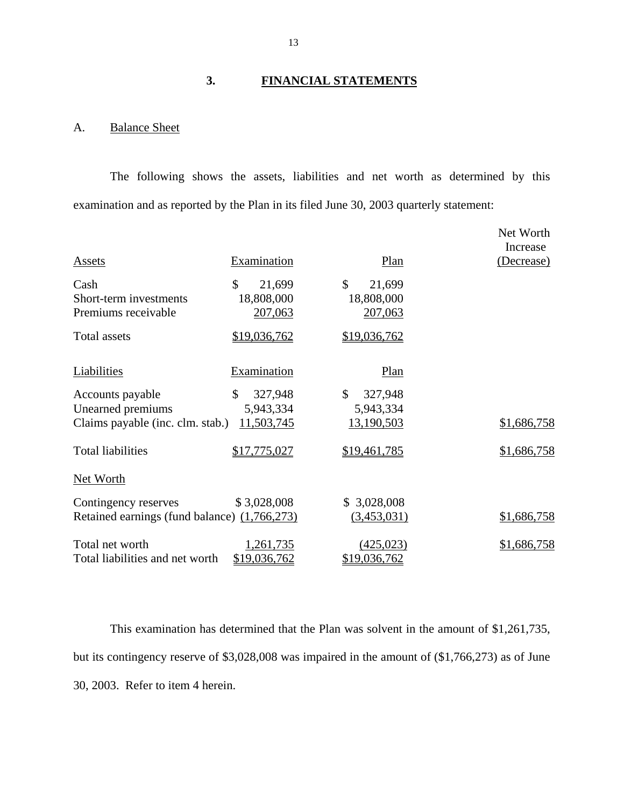## **3. FINANCIAL STATEMENTS**

## A. Balance Sheet

The following shows the assets, liabilities and net worth as determined by this examination and as reported by the Plan in its filed June 30, 2003 quarterly statement:

|                                                       |                                                  |                                                 | Net Worth<br>Increase |
|-------------------------------------------------------|--------------------------------------------------|-------------------------------------------------|-----------------------|
| <b>Assets</b>                                         | Examination                                      | Plan                                            | <u>(Decrease)</u>     |
| Cash<br>Short-term investments<br>Premiums receivable | $\mathcal{S}$<br>21,699<br>18,808,000<br>207,063 | $\mathbb{S}$<br>21,699<br>18,808,000<br>207,063 |                       |
| <b>Total assets</b>                                   | \$19,036,762                                     | \$19,036,762                                    |                       |
|                                                       |                                                  |                                                 |                       |
| Liabilities                                           | Examination                                      | Plan                                            |                       |
| Accounts payable                                      | \$<br>327,948                                    | \$<br>327,948                                   |                       |
| Unearned premiums                                     | 5,943,334                                        | 5,943,334                                       |                       |
| Claims payable (inc. clm. stab.)                      | 11,503,745                                       | 13,190,503                                      | \$1,686,758           |
| <b>Total liabilities</b>                              | \$17,775,027                                     | \$19,461,785                                    | \$1,686,758           |
| Net Worth                                             |                                                  |                                                 |                       |
| Contingency reserves                                  | \$3,028,008                                      | \$3,028,008                                     |                       |
| Retained earnings (fund balance) (1,766,273)          |                                                  | (3,453,031)                                     | \$1,686,758           |
| Total net worth<br>Total liabilities and net worth    | 1,261,735<br>\$19,036,762                        | (425, 023)<br>\$19,036,762                      | \$1,686,758           |

This examination has determined that the Plan was solvent in the amount of \$1,261,735, but its contingency reserve of \$3,028,008 was impaired in the amount of (\$1,766,273) as of June 30, 2003. Refer to item 4 herein.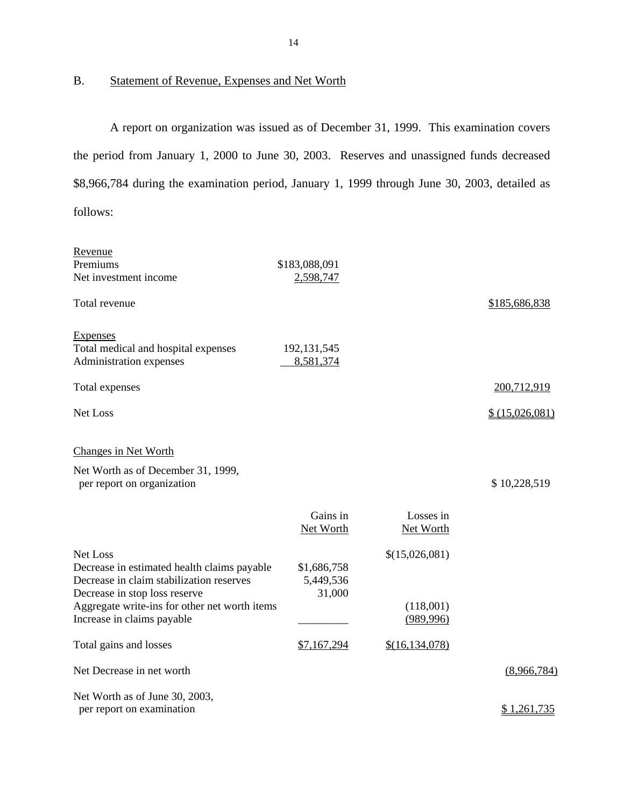## B. Statement of Revenue, Expenses and Net Worth

A report on organization was issued as of December 31, 1999. This examination covers the period from January 1, 2000 to June 30, 2003. Reserves and unassigned funds decreased \$8,966,784 during the examination period, January 1, 1999 through June 30, 2003, detailed as follows:

| Revenue                                                                                                                              |                                    |                         |                    |
|--------------------------------------------------------------------------------------------------------------------------------------|------------------------------------|-------------------------|--------------------|
| Premiums                                                                                                                             | \$183,088,091                      |                         |                    |
| Net investment income                                                                                                                | 2,598,747                          |                         |                    |
| Total revenue                                                                                                                        |                                    |                         | \$185,686,838      |
| <b>Expenses</b><br>Total medical and hospital expenses<br>Administration expenses                                                    | 192, 131, 545<br>8,581,374         |                         |                    |
| Total expenses                                                                                                                       |                                    |                         | 200,712,919        |
| <b>Net Loss</b>                                                                                                                      |                                    |                         | \$(15,026,081)     |
| <b>Changes in Net Worth</b>                                                                                                          |                                    |                         |                    |
| Net Worth as of December 31, 1999,<br>per report on organization                                                                     |                                    |                         | \$10,228,519       |
|                                                                                                                                      | Gains in<br>Net Worth              | Losses in<br>Net Worth  |                    |
| Net Loss<br>Decrease in estimated health claims payable<br>Decrease in claim stabilization reserves<br>Decrease in stop loss reserve | \$1,686,758<br>5,449,536<br>31,000 | \$(15,026,081)          |                    |
| Aggregate write-ins for other net worth items<br>Increase in claims payable                                                          |                                    | (118,001)<br>(989, 996) |                    |
| Total gains and losses                                                                                                               | \$7,167,294                        | \$(16, 134, 078)        |                    |
| Net Decrease in net worth                                                                                                            |                                    |                         | (8,966,784)        |
| Net Worth as of June 30, 2003,<br>per report on examination                                                                          |                                    |                         | <u>\$1,261,735</u> |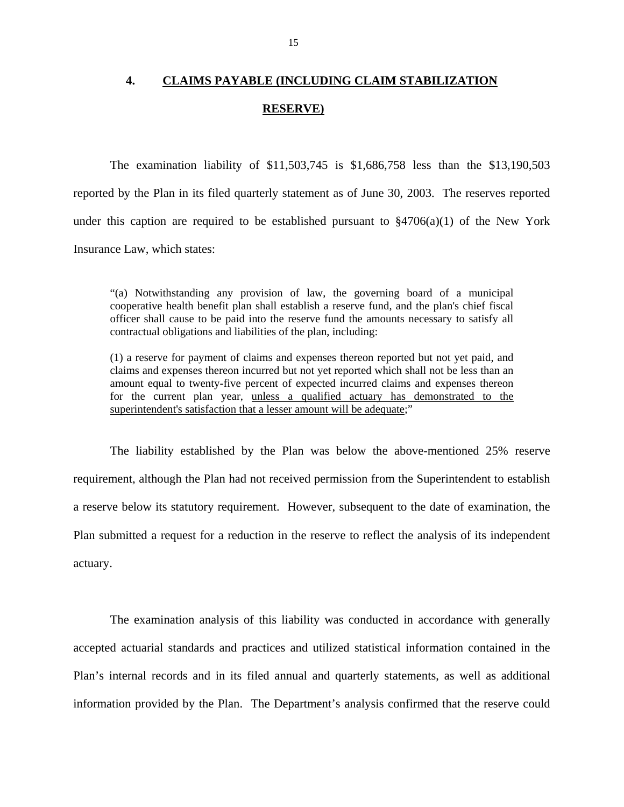# **4. CLAIMS PAYABLE (INCLUDING CLAIM STABILIZATION RESERVE)**

The examination liability of \$11,503,745 is \$1,686,758 less than the \$13,190,503 reported by the Plan in its filed quarterly statement as of June 30, 2003. The reserves reported under this caption are required to be established pursuant to  $\S4706(a)(1)$  of the New York Insurance Law, which states:

"(a) Notwithstanding any provision of law, the governing board of a municipal cooperative health benefit plan shall establish a reserve fund, and the plan's chief fiscal officer shall cause to be paid into the reserve fund the amounts necessary to satisfy all contractual obligations and liabilities of the plan, including:

(1) a reserve for payment of claims and expenses thereon reported but not yet paid, and claims and expenses thereon incurred but not yet reported which shall not be less than an amount equal to twenty-five percent of expected incurred claims and expenses thereon for the current plan year, unless a qualified actuary has demonstrated to the superintendent's satisfaction that a lesser amount will be adequate;"

The liability established by the Plan was below the above-mentioned 25% reserve requirement, although the Plan had not received permission from the Superintendent to establish a reserve below its statutory requirement. However, subsequent to the date of examination, the Plan submitted a request for a reduction in the reserve to reflect the analysis of its independent actuary.

The examination analysis of this liability was conducted in accordance with generally accepted actuarial standards and practices and utilized statistical information contained in the Plan's internal records and in its filed annual and quarterly statements, as well as additional information provided by the Plan. The Department's analysis confirmed that the reserve could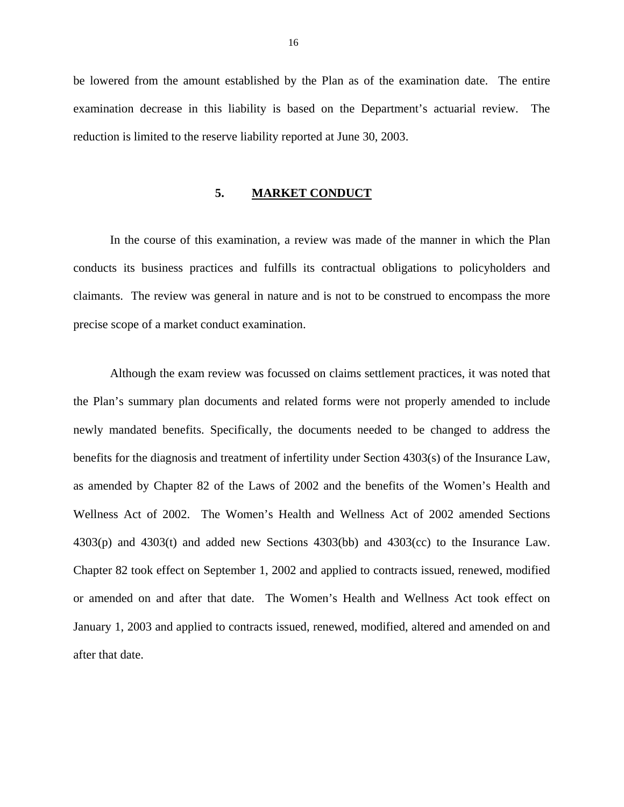be lowered from the amount established by the Plan as of the examination date. The entire examination decrease in this liability is based on the Department's actuarial review. The reduction is limited to the reserve liability reported at June 30, 2003.

#### **5. MARKET CONDUCT**

In the course of this examination, a review was made of the manner in which the Plan conducts its business practices and fulfills its contractual obligations to policyholders and claimants. The review was general in nature and is not to be construed to encompass the more precise scope of a market conduct examination.

Although the exam review was focussed on claims settlement practices, it was noted that the Plan's summary plan documents and related forms were not properly amended to include newly mandated benefits. Specifically, the documents needed to be changed to address the benefits for the diagnosis and treatment of infertility under Section 4303(s) of the Insurance Law, as amended by Chapter 82 of the Laws of 2002 and the benefits of the Women's Health and Wellness Act of 2002. The Women's Health and Wellness Act of 2002 amended Sections 4303(p) and 4303(t) and added new Sections 4303(bb) and 4303(cc) to the Insurance Law. Chapter 82 took effect on September 1, 2002 and applied to contracts issued, renewed, modified or amended on and after that date. The Women's Health and Wellness Act took effect on January 1, 2003 and applied to contracts issued, renewed, modified, altered and amended on and after that date.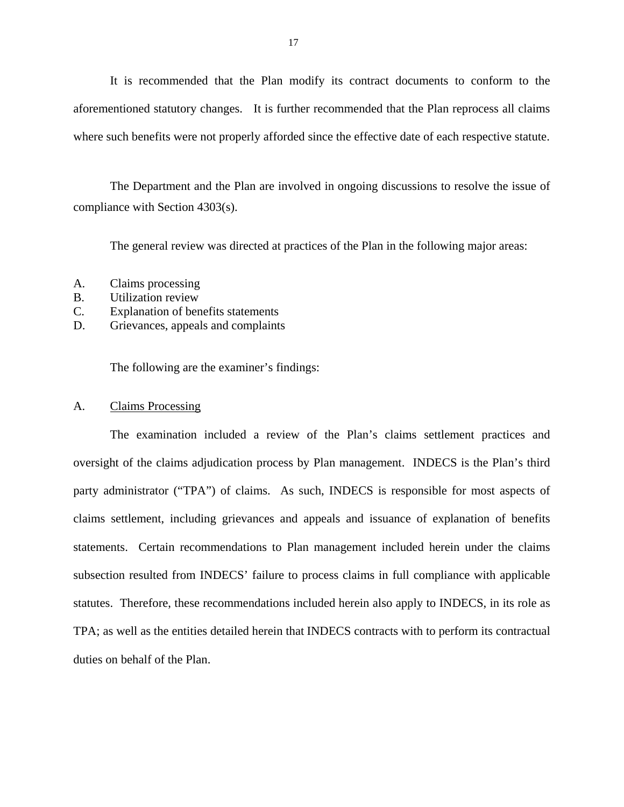It is recommended that the Plan modify its contract documents to conform to the aforementioned statutory changes. It is further recommended that the Plan reprocess all claims where such benefits were not properly afforded since the effective date of each respective statute.

The Department and the Plan are involved in ongoing discussions to resolve the issue of compliance with Section 4303(s).

The general review was directed at practices of the Plan in the following major areas:

- A. Claims processing
- B. Utilization review
- C. Explanation of benefits statements
- D. Grievances, appeals and complaints

The following are the examiner's findings:

### A. Claims Processing

The examination included a review of the Plan's claims settlement practices and oversight of the claims adjudication process by Plan management. INDECS is the Plan's third party administrator ("TPA") of claims. As such, INDECS is responsible for most aspects of claims settlement, including grievances and appeals and issuance of explanation of benefits statements. Certain recommendations to Plan management included herein under the claims subsection resulted from INDECS' failure to process claims in full compliance with applicable statutes. Therefore, these recommendations included herein also apply to INDECS, in its role as TPA; as well as the entities detailed herein that INDECS contracts with to perform its contractual duties on behalf of the Plan.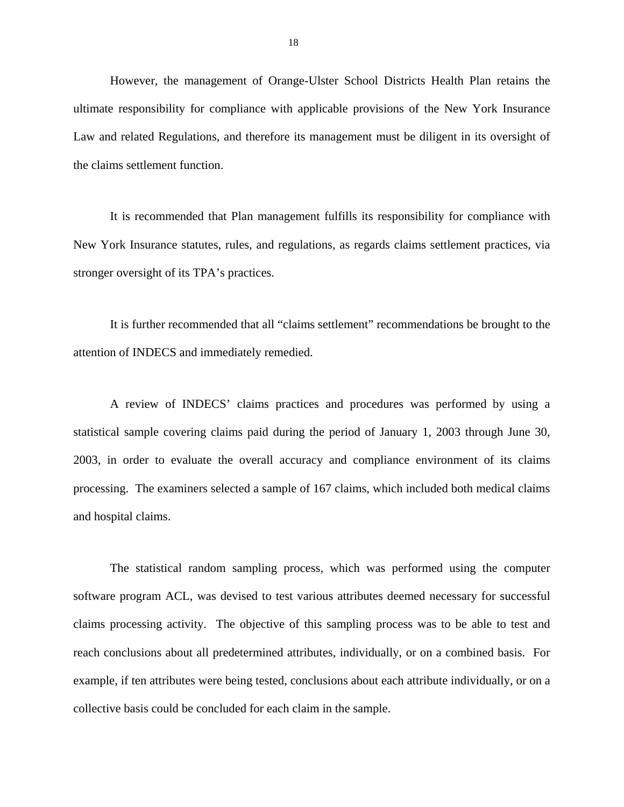However, the management of Orange-Ulster School Districts Health Plan retains the ultimate responsibility for compliance with applicable provisions of the New York Insurance Law and related Regulations, and therefore its management must be diligent in its oversight of the claims settlement function.

It is recommended that Plan management fulfills its responsibility for compliance with New York Insurance statutes, rules, and regulations, as regards claims settlement practices, via stronger oversight of its TPA's practices.

It is further recommended that all "claims settlement" recommendations be brought to the attention of INDECS and immediately remedied.

A review of INDECS' claims practices and procedures was performed by using a statistical sample covering claims paid during the period of January 1, 2003 through June 30, 2003, in order to evaluate the overall accuracy and compliance environment of its claims processing. The examiners selected a sample of 167 claims, which included both medical claims and hospital claims.

The statistical random sampling process, which was performed using the computer software program ACL, was devised to test various attributes deemed necessary for successful claims processing activity. The objective of this sampling process was to be able to test and reach conclusions about all predetermined attributes, individually, or on a combined basis. For example, if ten attributes were being tested, conclusions about each attribute individually, or on a collective basis could be concluded for each claim in the sample.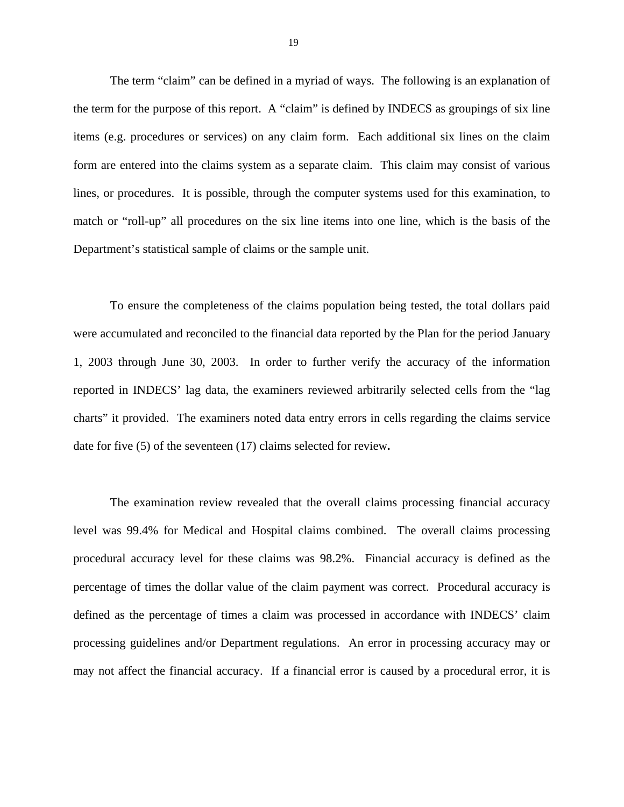The term "claim" can be defined in a myriad of ways. The following is an explanation of the term for the purpose of this report. A "claim" is defined by INDECS as groupings of six line items (e.g. procedures or services) on any claim form. Each additional six lines on the claim form are entered into the claims system as a separate claim. This claim may consist of various lines, or procedures. It is possible, through the computer systems used for this examination, to match or "roll-up" all procedures on the six line items into one line, which is the basis of the Department's statistical sample of claims or the sample unit.

To ensure the completeness of the claims population being tested, the total dollars paid were accumulated and reconciled to the financial data reported by the Plan for the period January 1, 2003 through June 30, 2003. In order to further verify the accuracy of the information reported in INDECS' lag data, the examiners reviewed arbitrarily selected cells from the "lag charts" it provided. The examiners noted data entry errors in cells regarding the claims service date for five (5) of the seventeen (17) claims selected for review**.** 

The examination review revealed that the overall claims processing financial accuracy level was 99.4% for Medical and Hospital claims combined. The overall claims processing procedural accuracy level for these claims was 98.2%. Financial accuracy is defined as the percentage of times the dollar value of the claim payment was correct. Procedural accuracy is defined as the percentage of times a claim was processed in accordance with INDECS' claim processing guidelines and/or Department regulations. An error in processing accuracy may or may not affect the financial accuracy. If a financial error is caused by a procedural error, it is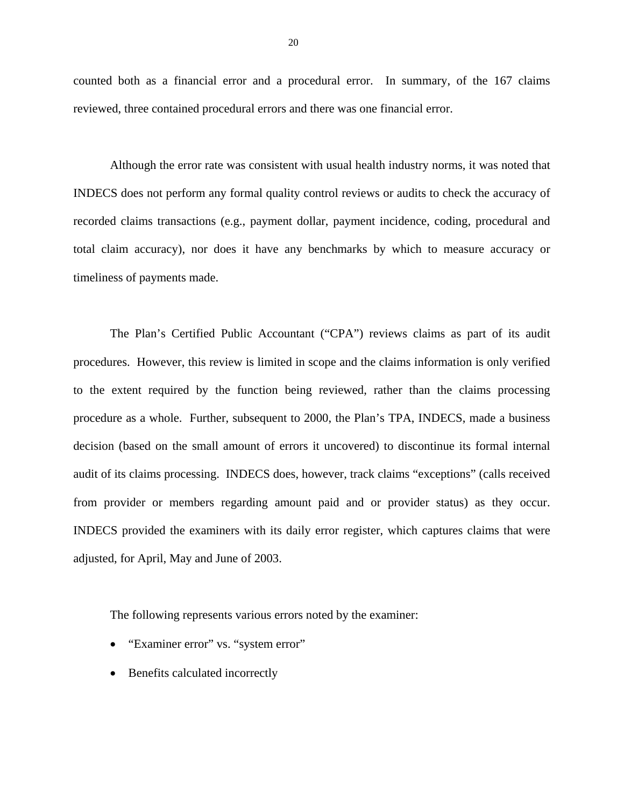counted both as a financial error and a procedural error. In summary, of the 167 claims reviewed, three contained procedural errors and there was one financial error.

Although the error rate was consistent with usual health industry norms, it was noted that INDECS does not perform any formal quality control reviews or audits to check the accuracy of recorded claims transactions (e.g., payment dollar, payment incidence, coding, procedural and total claim accuracy), nor does it have any benchmarks by which to measure accuracy or timeliness of payments made.

The Plan's Certified Public Accountant ("CPA") reviews claims as part of its audit procedures. However, this review is limited in scope and the claims information is only verified to the extent required by the function being reviewed, rather than the claims processing procedure as a whole. Further, subsequent to 2000, the Plan's TPA, INDECS, made a business decision (based on the small amount of errors it uncovered) to discontinue its formal internal audit of its claims processing. INDECS does, however, track claims "exceptions" (calls received from provider or members regarding amount paid and or provider status) as they occur. INDECS provided the examiners with its daily error register, which captures claims that were adjusted, for April, May and June of 2003.

The following represents various errors noted by the examiner:

- "Examiner error" vs. "system error"
- Benefits calculated incorrectly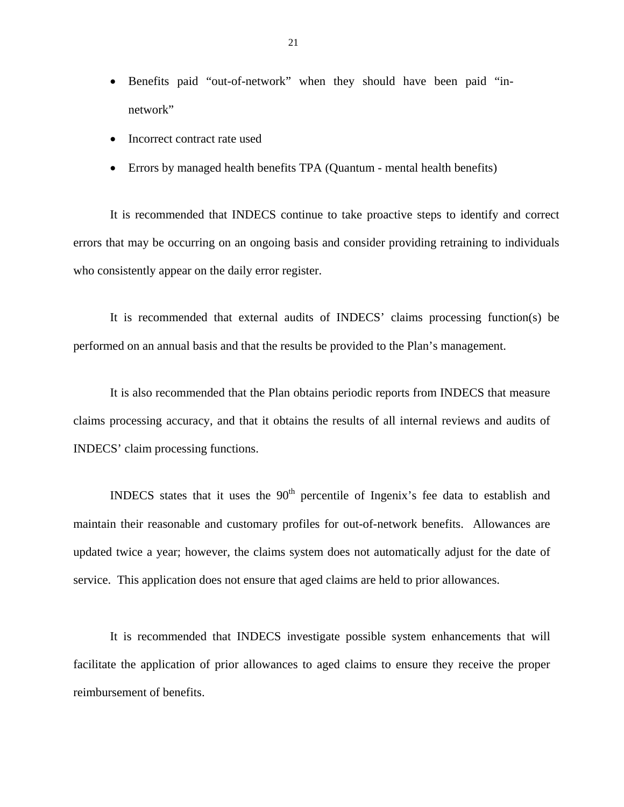- Benefits paid "out-of-network" when they should have been paid "innetwork"
- Incorrect contract rate used
- Errors by managed health benefits TPA (Quantum mental health benefits)

It is recommended that INDECS continue to take proactive steps to identify and correct errors that may be occurring on an ongoing basis and consider providing retraining to individuals who consistently appear on the daily error register.

It is recommended that external audits of INDECS' claims processing function(s) be performed on an annual basis and that the results be provided to the Plan's management.

It is also recommended that the Plan obtains periodic reports from INDECS that measure claims processing accuracy, and that it obtains the results of all internal reviews and audits of INDECS' claim processing functions.

INDECS states that it uses the  $90<sup>th</sup>$  percentile of Ingenix's fee data to establish and maintain their reasonable and customary profiles for out-of-network benefits. Allowances are updated twice a year; however, the claims system does not automatically adjust for the date of service. This application does not ensure that aged claims are held to prior allowances.

It is recommended that INDECS investigate possible system enhancements that will facilitate the application of prior allowances to aged claims to ensure they receive the proper reimbursement of benefits.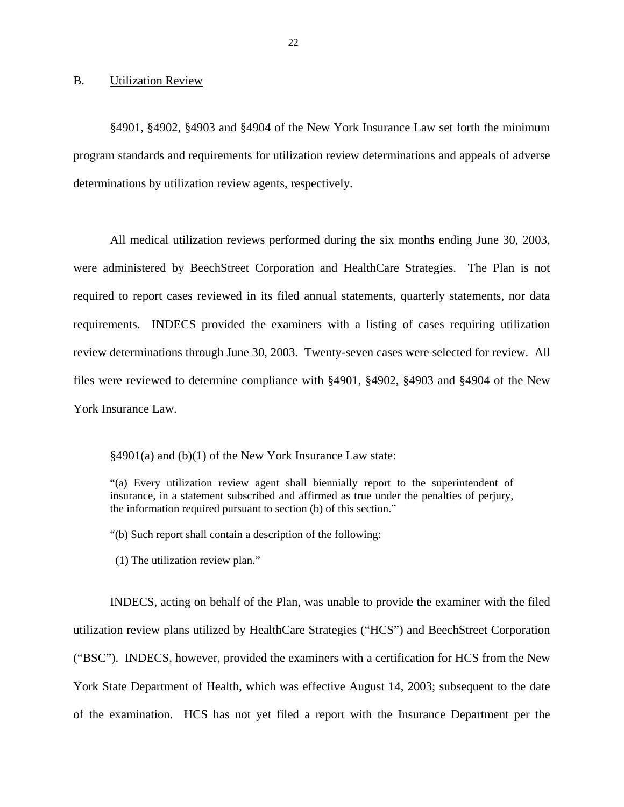B. Utilization Review

§4901, §4902, §4903 and §4904 of the New York Insurance Law set forth the minimum program standards and requirements for utilization review determinations and appeals of adverse determinations by utilization review agents, respectively.

All medical utilization reviews performed during the six months ending June 30, 2003, were administered by BeechStreet Corporation and HealthCare Strategies. The Plan is not required to report cases reviewed in its filed annual statements, quarterly statements, nor data requirements. INDECS provided the examiners with a listing of cases requiring utilization review determinations through June 30, 2003. Twenty-seven cases were selected for review. All files were reviewed to determine compliance with §4901, §4902, §4903 and §4904 of the New York Insurance Law.

§4901(a) and (b)(1) of the New York Insurance Law state:

"(a) Every utilization review agent shall biennially report to the superintendent of insurance, in a statement subscribed and affirmed as true under the penalties of perjury, the information required pursuant to section (b) of this section."

"(b) Such report shall contain a description of the following:

(1) The utilization review plan."

INDECS, acting on behalf of the Plan, was unable to provide the examiner with the filed utilization review plans utilized by HealthCare Strategies ("HCS") and BeechStreet Corporation ("BSC"). INDECS, however, provided the examiners with a certification for HCS from the New York State Department of Health, which was effective August 14, 2003; subsequent to the date of the examination. HCS has not yet filed a report with the Insurance Department per the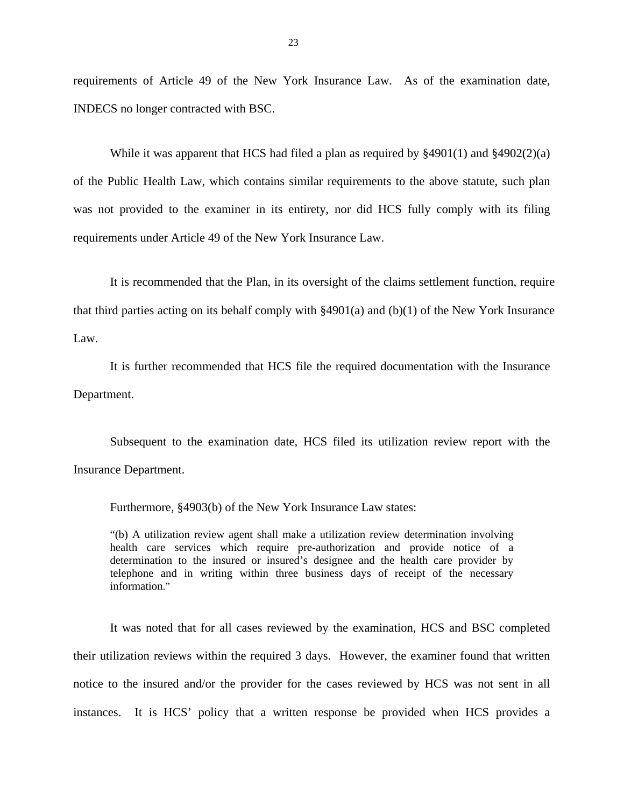requirements of Article 49 of the New York Insurance Law. As of the examination date, INDECS no longer contracted with BSC.

While it was apparent that HCS had filed a plan as required by §4901(1) and §4902(2)(a) of the Public Health Law, which contains similar requirements to the above statute, such plan was not provided to the examiner in its entirety, nor did HCS fully comply with its filing requirements under Article 49 of the New York Insurance Law.

It is recommended that the Plan, in its oversight of the claims settlement function, require that third parties acting on its behalf comply with §4901(a) and (b)(1) of the New York Insurance Law.

It is further recommended that HCS file the required documentation with the Insurance Department.

Subsequent to the examination date, HCS filed its utilization review report with the Insurance Department.

Furthermore, §4903(b) of the New York Insurance Law states:

"(b) A utilization review agent shall make a utilization review determination involving health care services which require pre-authorization and provide notice of a determination to the insured or insured's designee and the health care provider by telephone and in writing within three business days of receipt of the necessary information."

It was noted that for all cases reviewed by the examination, HCS and BSC completed their utilization reviews within the required 3 days. However, the examiner found that written notice to the insured and/or the provider for the cases reviewed by HCS was not sent in all instances. It is HCS' policy that a written response be provided when HCS provides a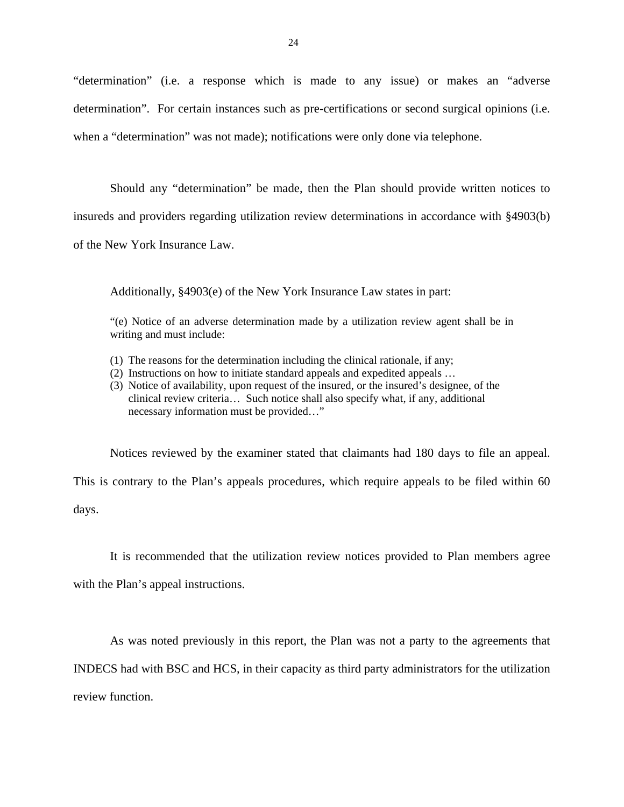"determination" (i.e. a response which is made to any issue) or makes an "adverse determination". For certain instances such as pre-certifications or second surgical opinions (i.e. when a "determination" was not made); notifications were only done via telephone.

Should any "determination" be made, then the Plan should provide written notices to insureds and providers regarding utilization review determinations in accordance with §4903(b) of the New York Insurance Law.

Additionally, §4903(e) of the New York Insurance Law states in part:

"(e) Notice of an adverse determination made by a utilization review agent shall be in writing and must include:

- (1) The reasons for the determination including the clinical rationale, if any;
- (2) Instructions on how to initiate standard appeals and expedited appeals …
- (3) Notice of availability, upon request of the insured, or the insured's designee, of the clinical review criteria… Such notice shall also specify what, if any, additional necessary information must be provided…"

Notices reviewed by the examiner stated that claimants had 180 days to file an appeal.

This is contrary to the Plan's appeals procedures, which require appeals to be filed within 60 days.

It is recommended that the utilization review notices provided to Plan members agree with the Plan's appeal instructions.

As was noted previously in this report, the Plan was not a party to the agreements that INDECS had with BSC and HCS, in their capacity as third party administrators for the utilization review function.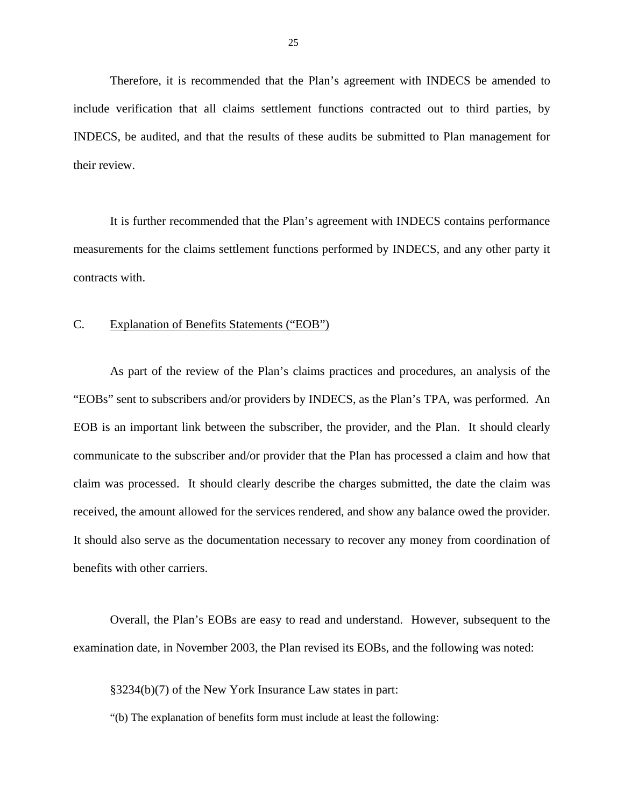Therefore, it is recommended that the Plan's agreement with INDECS be amended to include verification that all claims settlement functions contracted out to third parties, by INDECS, be audited, and that the results of these audits be submitted to Plan management for their review.

It is further recommended that the Plan's agreement with INDECS contains performance measurements for the claims settlement functions performed by INDECS, and any other party it contracts with.

#### C. Explanation of Benefits Statements ("EOB")

As part of the review of the Plan's claims practices and procedures, an analysis of the "EOBs" sent to subscribers and/or providers by INDECS, as the Plan's TPA, was performed. An EOB is an important link between the subscriber, the provider, and the Plan. It should clearly communicate to the subscriber and/or provider that the Plan has processed a claim and how that claim was processed. It should clearly describe the charges submitted, the date the claim was received, the amount allowed for the services rendered, and show any balance owed the provider. It should also serve as the documentation necessary to recover any money from coordination of benefits with other carriers.

Overall, the Plan's EOBs are easy to read and understand. However, subsequent to the examination date, in November 2003, the Plan revised its EOBs, and the following was noted:

§3234(b)(7) of the New York Insurance Law states in part:

"(b) The explanation of benefits form must include at least the following: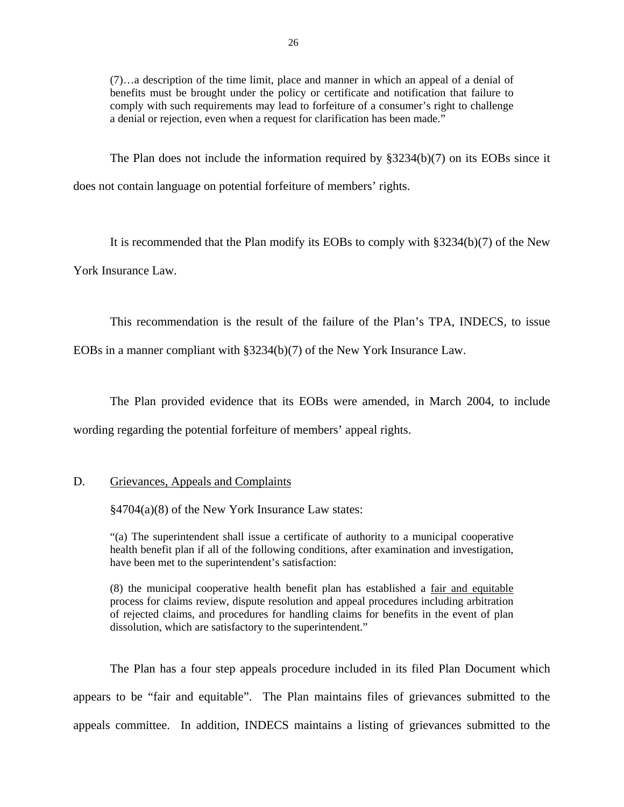(7)…a description of the time limit, place and manner in which an appeal of a denial of benefits must be brought under the policy or certificate and notification that failure to comply with such requirements may lead to forfeiture of a consumer's right to challenge a denial or rejection, even when a request for clarification has been made."

The Plan does not include the information required by §3234(b)(7) on its EOBs since it does not contain language on potential forfeiture of members' rights.

It is recommended that the Plan modify its EOBs to comply with §3234(b)(7) of the New York Insurance Law.

This recommendation is the result of the failure of the Plan's TPA, INDECS, to issue

EOBs in a manner compliant with §3234(b)(7) of the New York Insurance Law.

The Plan provided evidence that its EOBs were amended, in March 2004, to include wording regarding the potential forfeiture of members' appeal rights.

### D. Grievances, Appeals and Complaints

§4704(a)(8) of the New York Insurance Law states:

"(a) The superintendent shall issue a certificate of authority to a municipal cooperative health benefit plan if all of the following conditions, after examination and investigation, have been met to the superintendent's satisfaction:

(8) the municipal cooperative health benefit plan has established a fair and equitable process for claims review, dispute resolution and appeal procedures including arbitration of rejected claims, and procedures for handling claims for benefits in the event of plan dissolution, which are satisfactory to the superintendent."

The Plan has a four step appeals procedure included in its filed Plan Document which appears to be "fair and equitable". The Plan maintains files of grievances submitted to the appeals committee. In addition, INDECS maintains a listing of grievances submitted to the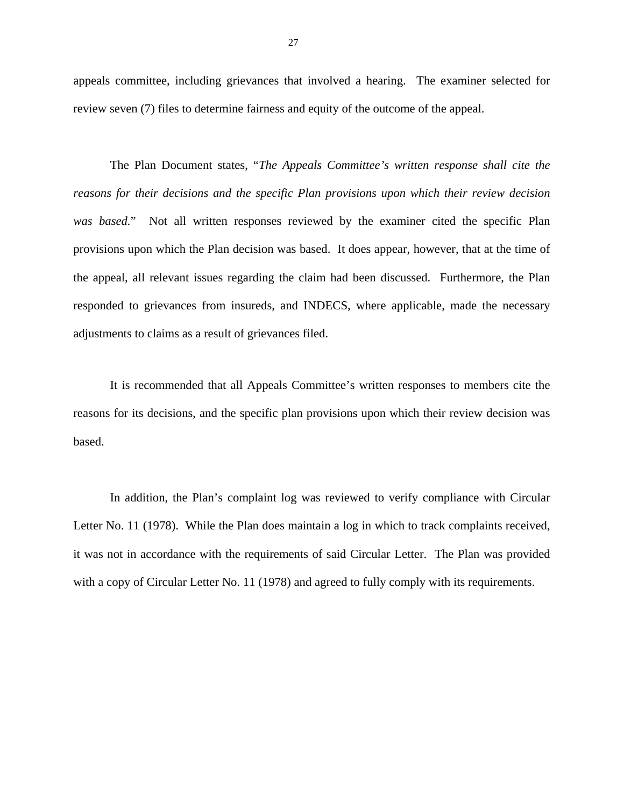appeals committee, including grievances that involved a hearing. The examiner selected for review seven (7) files to determine fairness and equity of the outcome of the appeal.

The Plan Document states, "*The Appeals Committee's written response shall cite the reasons for their decisions and the specific Plan provisions upon which their review decision was based.*" Not all written responses reviewed by the examiner cited the specific Plan provisions upon which the Plan decision was based. It does appear, however, that at the time of the appeal, all relevant issues regarding the claim had been discussed. Furthermore, the Plan responded to grievances from insureds, and INDECS, where applicable, made the necessary adjustments to claims as a result of grievances filed.

It is recommended that all Appeals Committee's written responses to members cite the reasons for its decisions, and the specific plan provisions upon which their review decision was based.

In addition, the Plan's complaint log was reviewed to verify compliance with Circular Letter No. 11 (1978). While the Plan does maintain a log in which to track complaints received, it was not in accordance with the requirements of said Circular Letter. The Plan was provided with a copy of Circular Letter No. 11 (1978) and agreed to fully comply with its requirements.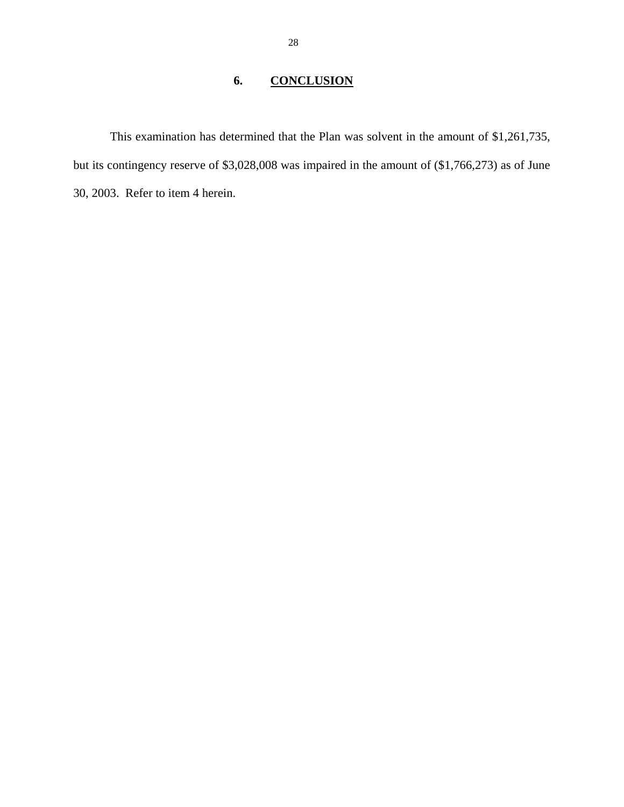## **6. CONCLUSION**

This examination has determined that the Plan was solvent in the amount of \$1,261,735, but its contingency reserve of \$3,028,008 was impaired in the amount of (\$1,766,273) as of June 30, 2003. Refer to item 4 herein.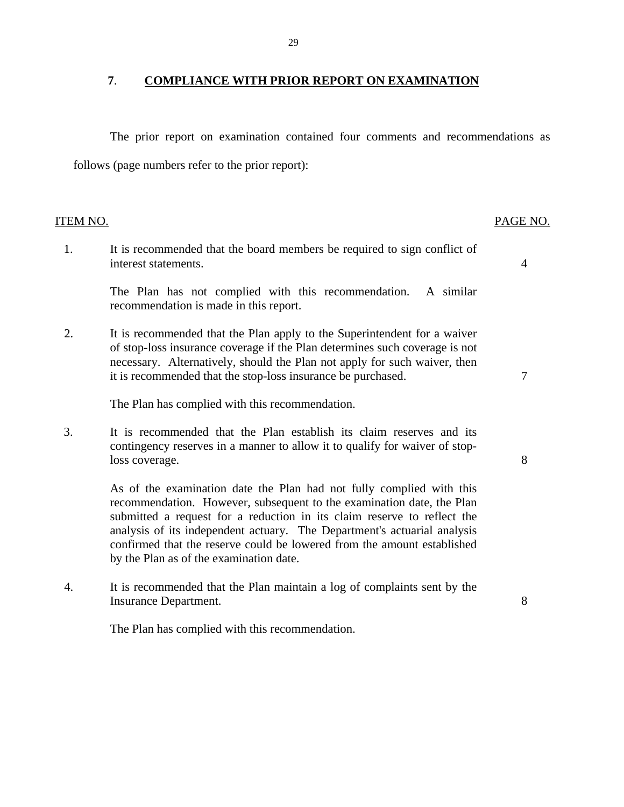## **7**. **COMPLIANCE WITH PRIOR REPORT ON EXAMINATION**

The prior report on examination contained four comments and recommendations as follows (page numbers refer to the prior report):

| <b>ITEM NO.</b> |                                                                                                                                                                                                                                                                                                                                                                                                                            | PAGE NO. |
|-----------------|----------------------------------------------------------------------------------------------------------------------------------------------------------------------------------------------------------------------------------------------------------------------------------------------------------------------------------------------------------------------------------------------------------------------------|----------|
| 1.              | It is recommended that the board members be required to sign conflict of<br>interest statements.                                                                                                                                                                                                                                                                                                                           | 4        |
|                 | The Plan has not complied with this recommendation.<br>A similar<br>recommendation is made in this report.                                                                                                                                                                                                                                                                                                                 |          |
| 2.              | It is recommended that the Plan apply to the Superintendent for a waiver<br>of stop-loss insurance coverage if the Plan determines such coverage is not<br>necessary. Alternatively, should the Plan not apply for such waiver, then<br>it is recommended that the stop-loss insurance be purchased.                                                                                                                       | 7        |
|                 | The Plan has complied with this recommendation.                                                                                                                                                                                                                                                                                                                                                                            |          |
| 3.              | It is recommended that the Plan establish its claim reserves and its<br>contingency reserves in a manner to allow it to qualify for waiver of stop-<br>loss coverage.                                                                                                                                                                                                                                                      | 8        |
|                 | As of the examination date the Plan had not fully complied with this<br>recommendation. However, subsequent to the examination date, the Plan<br>submitted a request for a reduction in its claim reserve to reflect the<br>analysis of its independent actuary. The Department's actuarial analysis<br>confirmed that the reserve could be lowered from the amount established<br>by the Plan as of the examination date. |          |
| 4.              | It is recommended that the Plan maintain a log of complaints sent by the<br>Insurance Department.                                                                                                                                                                                                                                                                                                                          | 8        |

The Plan has complied with this recommendation.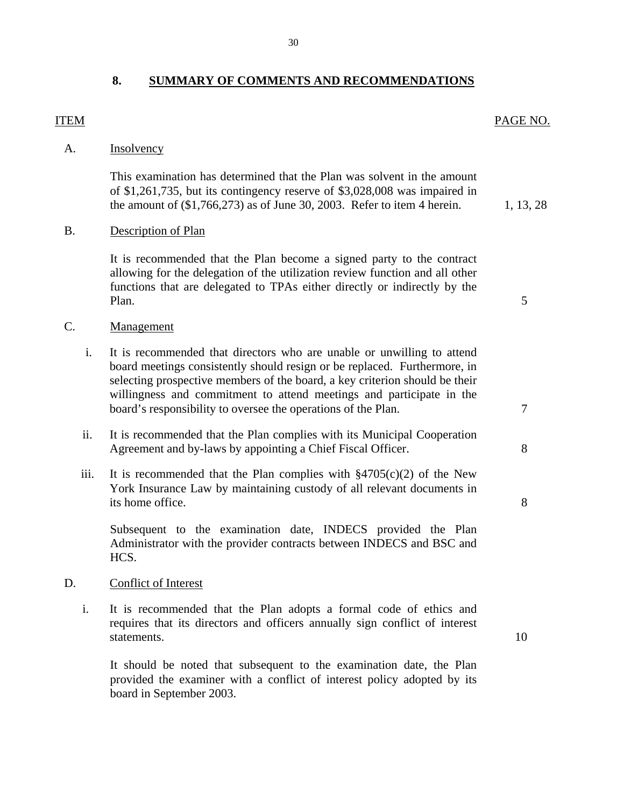## **8. SUMMARY OF COMMENTS AND RECOMMENDATIONS**

30

## A. **Insolvency**

This examination has determined that the Plan was solvent in the amount of \$1,261,735, but its contingency reserve of \$3,028,008 was impaired in the amount of  $(\$1,766,273)$  as of June 30, 2003. Refer to item 4 herein. 1, 13, 28

## B. Description of Plan

It is recommended that the Plan become a signed party to the contract allowing for the delegation of the utilization review function and all other functions that are delegated to TPAs either directly or indirectly by the Plan. 5

- C. Management
	- i. It is recommended that directors who are unable or unwilling to attend board meetings consistently should resign or be replaced. Furthermore, in selecting prospective members of the board, a key criterion should be their willingness and commitment to attend meetings and participate in the board's responsibility to oversee the operations of the Plan.  $\frac{7}{7}$
	- ii. It is recommended that the Plan complies with its Municipal Cooperation Agreement and by-laws by appointing a Chief Fiscal Officer. 8
	- iii. It is recommended that the Plan complies with  $\S 4705(c)(2)$  of the New York Insurance Law by maintaining custody of all relevant documents in its home office. 8

Subsequent to the examination date, INDECS provided the Plan Administrator with the provider contracts between INDECS and BSC and HCS.

### D. Conflict of Interest

i. It is recommended that the Plan adopts a formal code of ethics and requires that its directors and officers annually sign conflict of interest statements. 10

It should be noted that subsequent to the examination date, the Plan provided the examiner with a conflict of interest policy adopted by its board in September 2003.

#### **ITEM** PAGE NO.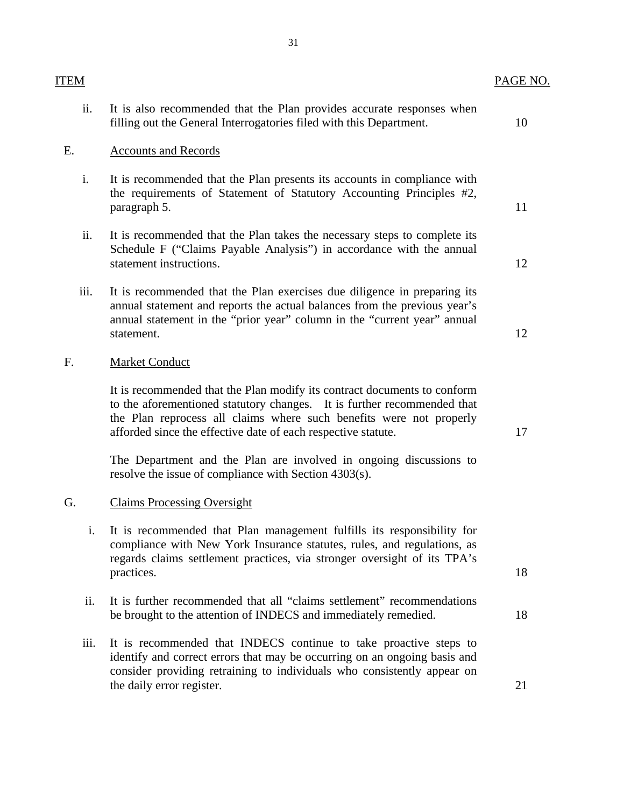| ITEM |                                                                                                                                                                                                                                                                                             | PAGE NO. |
|------|---------------------------------------------------------------------------------------------------------------------------------------------------------------------------------------------------------------------------------------------------------------------------------------------|----------|
| ii.  | It is also recommended that the Plan provides accurate responses when<br>filling out the General Interrogatories filed with this Department.                                                                                                                                                | 10       |
| E.   | <b>Accounts and Records</b>                                                                                                                                                                                                                                                                 |          |
| i.   | It is recommended that the Plan presents its accounts in compliance with<br>the requirements of Statement of Statutory Accounting Principles #2,<br>paragraph 5.                                                                                                                            | 11       |
| ii.  | It is recommended that the Plan takes the necessary steps to complete its<br>Schedule F ("Claims Payable Analysis") in accordance with the annual<br>statement instructions.                                                                                                                | 12       |
| iii. | It is recommended that the Plan exercises due diligence in preparing its<br>annual statement and reports the actual balances from the previous year's<br>annual statement in the "prior year" column in the "current year" annual<br>statement.                                             | 12       |
| F.   | Market Conduct                                                                                                                                                                                                                                                                              |          |
|      | It is recommended that the Plan modify its contract documents to conform<br>to the aforementioned statutory changes. It is further recommended that<br>the Plan reprocess all claims where such benefits were not properly<br>afforded since the effective date of each respective statute. | 17       |
|      | The Department and the Plan are involved in ongoing discussions to<br>resolve the issue of compliance with Section 4303(s).                                                                                                                                                                 |          |
| G.   | <b>Claims Processing Oversight</b>                                                                                                                                                                                                                                                          |          |
| i.   | It is recommended that Plan management fulfills its responsibility for<br>compliance with New York Insurance statutes, rules, and regulations, as<br>regards claims settlement practices, via stronger oversight of its TPA's<br>practices.                                                 | 18       |
| ii.  | It is further recommended that all "claims settlement" recommendations<br>be brought to the attention of INDECS and immediately remedied.                                                                                                                                                   | 18       |
| iii. | It is recommended that INDECS continue to take proactive steps to<br>identify and correct errors that may be occurring on an ongoing basis and<br>consider providing retraining to individuals who consistently appear on<br>the daily error register.                                      | 21       |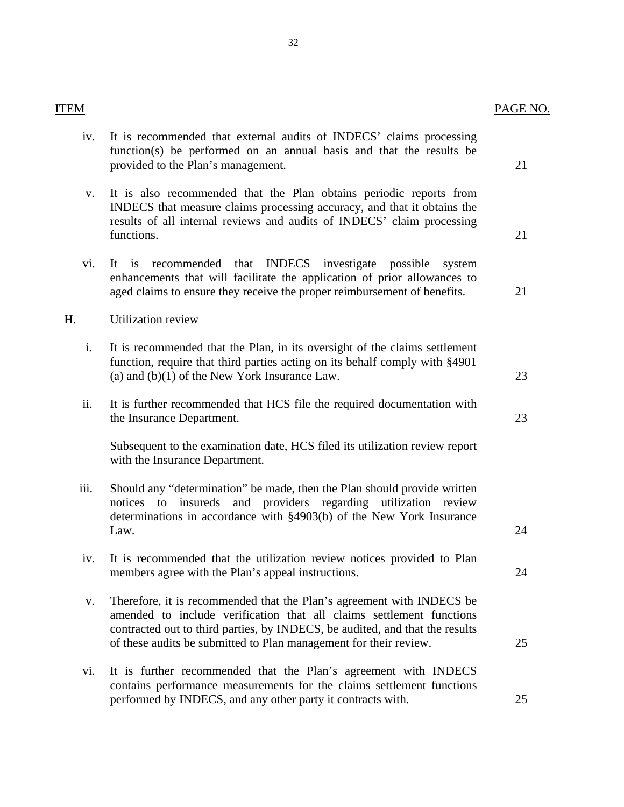iv. It is recommended that external audits of INDECS' claims processing function(s) be performed on an annual basis and that the results be

provided to the Plan's management. 21

| V.   | It is also recommended that the Plan obtains periodic reports from<br>INDECS that measure claims processing accuracy, and that it obtains the<br>results of all internal reviews and audits of INDECS' claim processing<br>functions.                                                              | 21 |
|------|----------------------------------------------------------------------------------------------------------------------------------------------------------------------------------------------------------------------------------------------------------------------------------------------------|----|
| vi.  | recommended that INDECS investigate possible<br>It is<br>system<br>enhancements that will facilitate the application of prior allowances to<br>aged claims to ensure they receive the proper reimbursement of benefits.                                                                            | 21 |
| Н.   | <b>Utilization review</b>                                                                                                                                                                                                                                                                          |    |
| i.   | It is recommended that the Plan, in its oversight of the claims settlement<br>function, require that third parties acting on its behalf comply with §4901<br>(a) and $(b)(1)$ of the New York Insurance Law.                                                                                       | 23 |
| ii.  | It is further recommended that HCS file the required documentation with<br>the Insurance Department.                                                                                                                                                                                               | 23 |
|      | Subsequent to the examination date, HCS filed its utilization review report<br>with the Insurance Department.                                                                                                                                                                                      |    |
| iii. | Should any "determination" be made, then the Plan should provide written<br>insureds and providers regarding utilization review<br>notices<br>to<br>determinations in accordance with §4903(b) of the New York Insurance<br>Law.                                                                   | 24 |
| iv.  | It is recommended that the utilization review notices provided to Plan<br>members agree with the Plan's appeal instructions.                                                                                                                                                                       | 24 |
| V.   | Therefore, it is recommended that the Plan's agreement with INDECS be<br>amended to include verification that all claims settlement functions<br>contracted out to third parties, by INDECS, be audited, and that the results<br>of these audits be submitted to Plan management for their review. | 25 |
| vi.  | It is further recommended that the Plan's agreement with INDECS<br>contains performance measurements for the claims settlement functions                                                                                                                                                           |    |

#### ITEM PAGE NO.

performed by INDECS, and any other party it contracts with. 25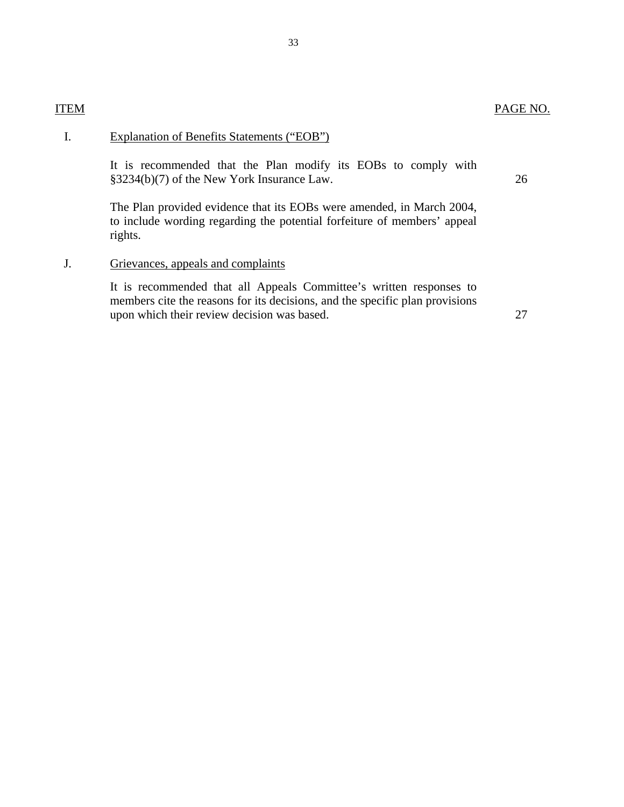## I. Explanation of Benefits Statements ("EOB")

It is recommended that the Plan modify its EOBs to comply with §3234(b)(7) of the New York Insurance Law. 26

The Plan provided evidence that its EOBs were amended, in March 2004, to include wording regarding the potential forfeiture of members' appeal rights.

## J. Grievances, appeals and complaints

It is recommended that all Appeals Committee's written responses to members cite the reasons for its decisions, and the specific plan provisions upon which their review decision was based. 27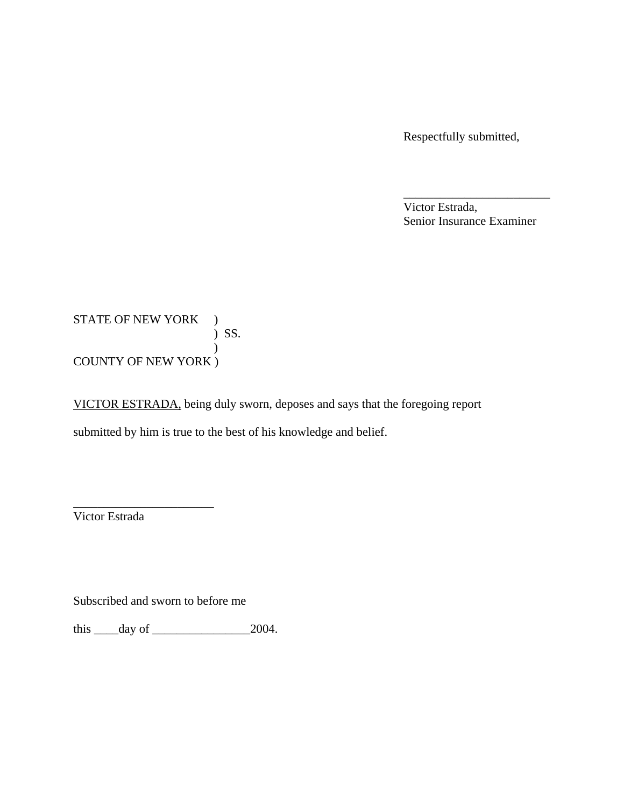Respectfully submitted,

 Victor Estrada, Senior Insurance Examiner

\_\_\_\_\_\_\_\_\_\_\_\_\_\_\_\_\_\_\_\_\_\_\_\_

STATE OF NEW YORK )  $\sum$  SS. ) COUNTY OF NEW YORK )

VICTOR ESTRADA, being duly sworn, deposes and says that the foregoing report submitted by him is true to the best of his knowledge and belief.

Victor Estrada

Subscribed and sworn to before me

\_\_\_\_\_\_\_\_\_\_\_\_\_\_\_\_\_\_\_\_\_\_\_

this  $\rule{1em}{0.15mm} \begin{array}{r} \n\text{this} \hspace{1em} \text{days} \text{of} \hspace{1em} \text{2004}. \n\end{array}$